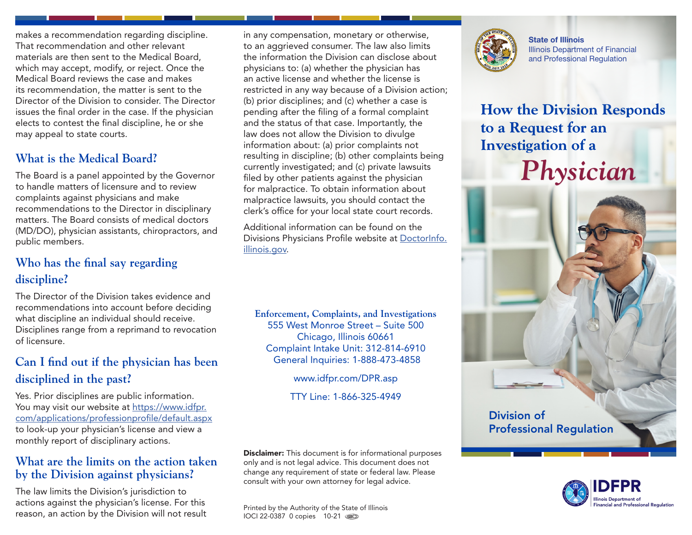makes a recommendation regarding discipline. That recommendation and other relevant materials are then sent to the Medical Board, which may accept, modify, or reject. Once the Medical Board reviews the case and makes its recommendation, the matter is sent to the Director of the Division to consider. The Director issues the final order in the case. If the physician elects to contest the final discipline, he or she may appeal to state courts.

## **What is the Medical Board?**

The Board is a panel appointed by the Governor to handle matters of licensure and to review complaints against physicians and make recommendations to the Director in disciplinary matters. The Board consists of medical doctors (MD/DO), physician assistants, chiropractors, and public members.

## **Who has the final say regarding discipline?**

The Director of the Division takes evidence and recommendations into account before deciding what discipline an individual should receive. Disciplines range from a reprimand to revocation of licensure.

# **Can I find out if the physician has been disciplined in the past?**

Yes. Prior disciplines are public information. You may visit our website at [https://www.idfpr.](https://www.idfpr.com/applications/professionprofile/default.aspx) [com/applications/professionprofile/default.aspx](https://www.idfpr.com/applications/professionprofile/default.aspx) to look-up your physician's license and view a monthly report of disciplinary actions.

### **What are the limits on the action taken by the Division against physicians?**

The law limits the Division's jurisdiction to actions against the physician's license. For this reason, an action by the Division will not result

in any compensation, monetary or otherwise, to an aggrieved consumer. The law also limits the information the Division can disclose about physicians to: (a) whether the physician has an active license and whether the license is restricted in any way because of a Division action; (b) prior disciplines; and (c) whether a case is pending after the filing of a formal complaint and the status of that case. Importantly, the law does not allow the Division to divulge information about: (a) prior complaints not resulting in discipline; (b) other complaints being currently investigated; and (c) private lawsuits filed by other patients against the physician for malpractice. To obtain information about malpractice lawsuits, you should contact the clerk's office for your local state court records.

Additional information can be found on the Divisions Physicians Profile website at [DoctorInfo.](http://www.DoctorInfo.illinois.gov) [illinois.gov.](http://www.DoctorInfo.illinois.gov)

**Enforcement, Complaints, and Investigations** 555 West Monroe Street – Suite 500 Chicago, Illinois 60661 Complaint Intake Unit: 312-814-6910 General Inquiries: 1-888-473-4858

www.idfpr.com/DPR.asp

TTY Line: 1-866-325-4949

**Disclaimer:** This document is for informational purposes only and is not legal advice. This document does not change any requirement of state or federal law. Please consult with your own attorney for legal advice.

Printed by the Authority of the State of Illinois IOCI 22-0387 0 copies 10-21



State of Illinois Illinois Department of Financial and Professional Regulation

# **How the Division Responds to a Request for an Investigation of a**

*Physician*